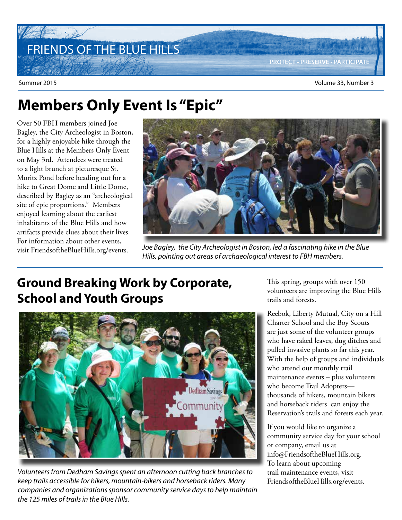# FRIENDS OF THE BLUE HILLS

 $z_{\rm max}$ 

## **Members Only Event Is "Epic"**

Over 50 FBH members joined Joe Bagley, the City Archeologist in Boston, for a highly enjoyable hike through the Blue Hills at the Members Only Event on May 3rd. Attendees were treated to a light brunch at picturesque St. Moritz Pond before heading out for a hike to Great Dome and Little Dome, described by Bagley as an "archeological site of epic proportions." Members enjoyed learning about the earliest inhabitants of the Blue Hills and how artifacts provide clues about their lives. For information about other events, visit FriendsoftheBlueHills.org/events.



Joe Bagley, the City Archeologist in Boston, led a fascinating hike in the Blue Hills, pointing out areas of archaeological interest to FBH members.

### **Ground Breaking Work by Corporate, School and Youth Groups**



Volunteers from Dedham Savings spent an afternoon cutting back branches to keep trails accessible for hikers, mountain-bikers and horseback riders. Many companies and organizations sponsor community service days to help maintain the 125 miles of trails in the Blue Hills.

This spring, groups with over 150 volunteers are improving the Blue Hills trails and forests.

Reebok, Liberty Mutual, City on a Hill Charter School and the Boy Scouts are just some of the volunteer groups who have raked leaves, dug ditches and pulled invasive plants so far this year. With the help of groups and individuals who attend our monthly trail maintenance events – plus volunteers who become Trail Adopters thousands of hikers, mountain bikers and horseback riders can enjoy the Reservation's trails and forests each year.

If you would like to organize a community service day for your school or company, email us at info@FriendsoftheBlueHills.org. To learn about upcoming trail maintenance events, visit FriendsoftheBlueHills.org/events.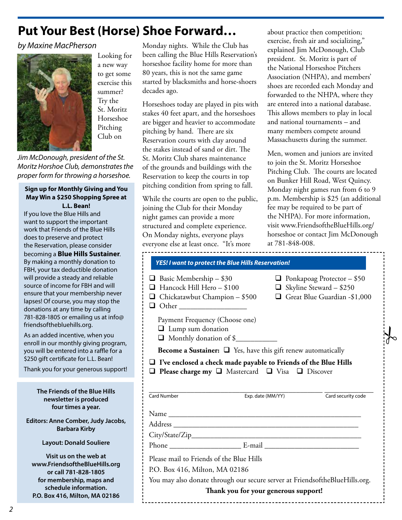### **Put Your Best (Horse) Shoe Forward…**

#### by Maxine MacPherson



Looking for a new way to get some exercise this summer? Try the St. Moritz Horseshoe Pitching Club on

Jim McDonough, president of the St. Moritz Horshoe Club, demonstrates the proper form for throwing a horseshoe.

#### **Sign up for Monthly Giving and You May Win a \$250 Shopping Spree at L.L. Bean!**

If you love the Blue Hills and want to support the important work that Friends of the Blue Hills does to preserve and protect the Reservation, please consider becoming a **Blue Hills Sustainer**. By making a monthly donation to FBH, your tax deductible donation will provide a steady and reliable source of income for FBH and will ensure that your membership never lapses! Of course, you may stop the donations at any time by calling 781-828-1805 or emailing us at info@ friendsofthebluehills.org.

As an added incentive, when you enroll in our monthly giving program, you will be entered into a raffle for a \$250 gift certificate for L.L. Bean!

Thank you for your generous support!

**The Friends of the Blue Hills newsletter is produced four times a year.**

**Editors: Anne Comber, Judy Jacobs, Barbara Kirby**

#### **Layout: Donald Souliere**

**Visit us on the web at www.FriendsoftheBlueHills.org or call 781-828-1805 for membership, maps and schedule information. P.O. Box 416, Milton, MA 02186**

Monday nights. While the Club has been calling the Blue Hills Reservation's horseshoe facility home for more than 80 years, this is not the same game started by blacksmiths and horse-shoers decades ago.

Horseshoes today are played in pits with stakes 40 feet apart, and the horseshoes are bigger and heavier to accommodate pitching by hand. There are six Reservation courts with clay around the stakes instead of sand or dirt. The St. Moritz Club shares maintenance of the grounds and buildings with the Reservation to keep the courts in top pitching condition from spring to fall.

While the courts are open to the public, joining the Club for their Monday night games can provide a more structured and complete experience. On Monday nights, everyone plays everyone else at least once. "It's more

about practice then competition; exercise, fresh air and socializing," explained Jim McDonough, Club president. St. Moritz is part of the National Horseshoe Pitchers Association (NHPA), and members' shoes are recorded each Monday and forwarded to the NHPA, where they are entered into a national database. This allows members to play in local and national tournaments – and many members compete around Massachusetts during the summer.

Men, women and juniors are invited to join the St. Moritz Horseshoe Pitching Club. The courts are located on Bunker Hill Road, West Quincy. Monday night games run from 6 to 9 p.m. Membership is \$25 (an additional fee may be required to be part of the NHPA). For more information, visit www.FriendsoftheBlueHills.org/ horseshoe or contact Jim McDonough at 781-848-008.

 $\frac{1}{6}$ 

| <b>YES! I want to protect the Blue Hills Reservation!</b>                                                                                                      |                   |                                                                                                     |
|----------------------------------------------------------------------------------------------------------------------------------------------------------------|-------------------|-----------------------------------------------------------------------------------------------------|
| Basic Membership - \$30<br>Hancock Hill Hero - \$100<br>$\Box$ Chickatawbut Champion – \$500                                                                   |                   | $\Box$ Ponkapoag Protector - \$50<br>$\Box$ Skyline Steward - \$250<br>Great Blue Guardian -\$1,000 |
| Payment Frequency (Choose one)<br>$\Box$ Lump sum donation<br>Monthly donation of \$                                                                           |                   |                                                                                                     |
| <b>Become a Sustainer:</b> $\Box$ Yes, have this gift renew automatically                                                                                      |                   |                                                                                                     |
|                                                                                                                                                                |                   |                                                                                                     |
| $\Box$ I've enclosed a check made payable to Friends of the Blue Hills<br>$\Box$ Please charge my $\Box$ Mastercard $\Box$ Visa $\Box$ Discover<br>Card Number | Exp. date (MM/YY) | Card security code                                                                                  |
|                                                                                                                                                                |                   |                                                                                                     |
|                                                                                                                                                                |                   |                                                                                                     |
|                                                                                                                                                                |                   |                                                                                                     |
|                                                                                                                                                                |                   |                                                                                                     |
| Please mail to Friends of the Blue Hills                                                                                                                       |                   |                                                                                                     |
| P.O. Box 416, Milton, MA 02186                                                                                                                                 |                   |                                                                                                     |
| You may also donate through our secure server at FriendsoftheBlueHills.org.                                                                                    |                   |                                                                                                     |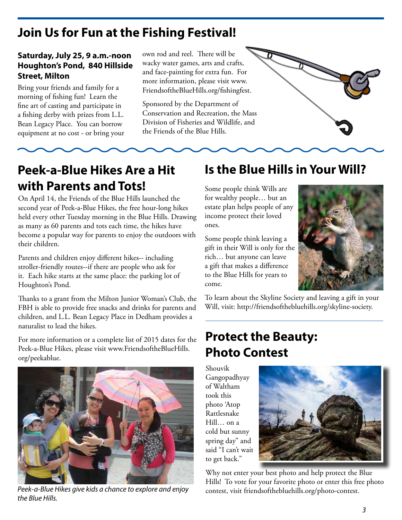### **Join Us for Fun at the Fishing Festival!**

#### **Saturday, July 25, 9 a.m.-noon Houghton's Pond, 840 Hillside Street, Milton**

Bring your friends and family for a morning of fishing fun! Learn the fine art of casting and participate in a fishing derby with prizes from L.L. Bean Legacy Place. You can borrow equipment at no cost - or bring your own rod and reel. There will be wacky water games, arts and crafts, and face-painting for extra fun. For more information, please visit www. FriendsoftheBlueHills.org/fishingfest.

Sponsored by the Department of Conservation and Recreation, the Mass Division of Fisheries and Wildlife, and the Friends of the Blue Hills.



#### **Peek-a-Blue Hikes Are a Hit with Parents and Tots!**

On April 14, the Friends of the Blue Hills launched the second year of Peek-a-Blue Hikes, the free hour-long hikes held every other Tuesday morning in the Blue Hills. Drawing as many as 60 parents and tots each time, the hikes have become a popular way for parents to enjoy the outdoors with their children.

Parents and children enjoy different hikes-- including stroller-friendly routes--if there are people who ask for it. Each hike starts at the same place: the parking lot of Houghton's Pond.

Thanks to a grant from the Milton Junior Woman's Club, the FBH is able to provide free snacks and drinks for parents and children, and L.L. Bean Legacy Place in Dedham provides a naturalist to lead the hikes.

For more information or a complete list of 2015 dates for the Peek-a-Blue Hikes, please visit www.FriendsoftheBlueHills. org/peekablue.



Peek-a-Blue Hikes give kids a chance to explore and enjoy the Blue Hills.

#### **Is the Blue Hills in Your Will?**

Some people think Wills are for wealthy people… but an estate plan helps people of any income protect their loved ones.

Some people think leaving a gift in their Will is only for the rich… but anyone can leave a gift that makes a difference to the Blue Hills for years to come.



To learn about the Skyline Society and leaving a gift in your Will, visit: http://friendsofthebluehills.org/skyline-society.

#### **Protect the Beauty: Photo Contest**

Shouvik Gangopadhyay of Waltham took this photo 'Atop Rattlesnake Hill… on a cold but sunny spring day" and said "I can't wait to get back."



Why not enter your best photo and help protect the Blue Hills! To vote for your favorite photo or enter this free photo contest, visit friendsofthebluehills.org/photo-contest.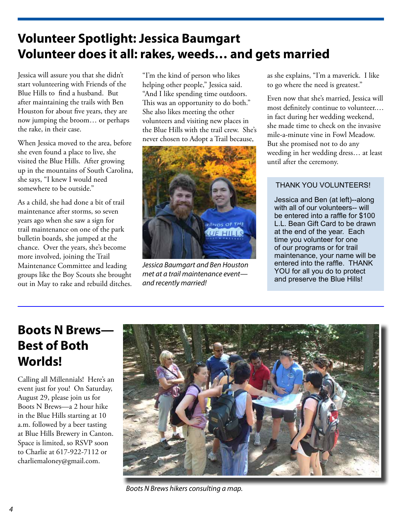### **Volunteer Spotlight: Jessica Baumgart Volunteer does it all: rakes, weeds… and gets married**

Jessica will assure you that she didn't start volunteering with Friends of the Blue Hills to find a husband. But after maintaining the trails with Ben Houston for about five years, they are now jumping the broom… or perhaps the rake, in their case.

When Jessica moved to the area, before she even found a place to live, she visited the Blue Hills. After growing up in the mountains of South Carolina, she says, "I knew I would need somewhere to be outside."

As a child, she had done a bit of trail maintenance after storms, so seven years ago when she saw a sign for trail maintenance on one of the park bulletin boards, she jumped at the chance. Over the years, she's become more involved, joining the Trail Maintenance Committee and leading groups like the Boy Scouts she brought out in May to rake and rebuild ditches. "I'm the kind of person who likes helping other people," Jessica said. "And I like spending time outdoors. This was an opportunity to do both." She also likes meeting the other volunteers and visiting new places in the Blue Hills with the trail crew. She's never chosen to Adopt a Trail because,



Jessica Baumgart and Ben Houston met at a trail maintenance event and recently married!

as she explains, "I'm a maverick. I like to go where the need is greatest."

Even now that she's married, Jessica will most definitely continue to volunteer.… in fact during her wedding weekend, she made time to check on the invasive mile-a-minute vine in Fowl Meadow. But she promised not to do any weeding in her wedding dress… at least until after the ceremony.

#### THANK YOU VOLUNTEERS!

Jessica and Ben (at left)--along with all of our volunteers-- will be entered into a raffle for \$100 L.L. Bean Gift Card to be drawn at the end of the year. Each time you volunteer for one of our programs or for trail maintenance, your name will be entered into the raffle. THANK YOU for all you do to protect and preserve the Blue Hills!

#### **Boots N Brews— Best of Both Worlds!**

Calling all Millennials! Here's an event just for you! On Saturday, August 29, please join us for Boots N Brews—a 2 hour hike in the Blue Hills starting at 10 a.m. followed by a beer tasting at Blue Hills Brewery in Canton. Space is limited, so RSVP soon to Charlie at 617-922-7112 or charliemaloney@gmail.com.



Boots N Brews hikers consulting a map.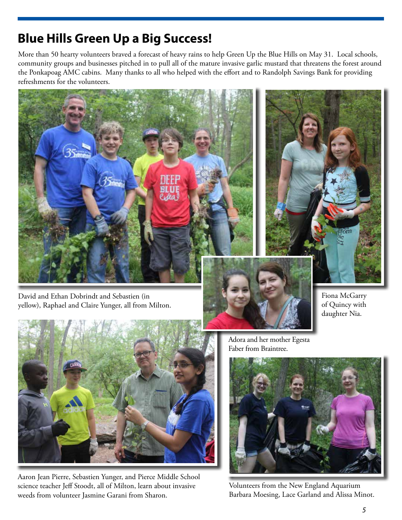### **Blue Hills Green Up a Big Success!**

More than 50 hearty volunteers braved a forecast of heavy rains to help Green Up the Blue Hills on May 31. Local schools, community groups and businesses pitched in to pull all of the mature invasive garlic mustard that threatens the forest around the Ponkapoag AMC cabins. Many thanks to all who helped with the effort and to Randolph Savings Bank for providing refreshments for the volunteers.



David and Ethan Dobrindt and Sebastien (in yellow), Raphael and Claire Yunger, all from Milton.



Aaron Jean Pierre, Sebastien Yunger, and Pierce Middle School science teacher Jeff Stoodt, all of Milton, learn about invasive weeds from volunteer Jasmine Garani from Sharon.

Adora and her mother Egesta Faber from Braintree.



Fiona McGarry of Quincy with daughter Nia.

Volunteers from the New England Aquarium Barbara Moesing, Lace Garland and Alissa Minot.